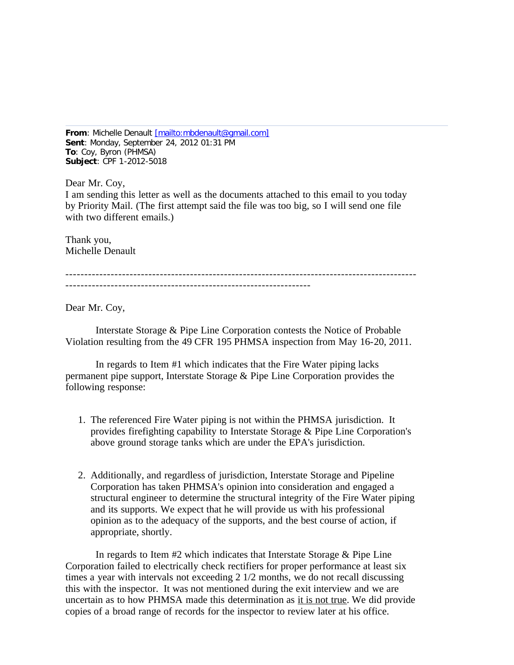**From**: Michelle Denault [\[mailto:mbdenault@gmail.com\]](mailto:[mailto:mbdenault@gmail.com]) **Sent**: Monday, September 24, 2012 01:31 PM **To**: Coy, Byron (PHMSA) **Subject**: CPF 1-2012-5018

Dear Mr. Coy, I am sending this letter as well as the documents attached to this email to you today by Priority Mail. (The first attempt said the file was too big, so I will send one file with two different emails.)

Thank you, Michelle Denault

---------------------------------------------------------------------------------------------

Dear Mr. Coy,

 Interstate Storage & Pipe Line Corporation contests the Notice of Probable Violation resulting from the 49 CFR 195 PHMSA inspection from May 16-20, 2011.

 In regards to Item #1 which indicates that the Fire Water piping lacks permanent pipe support, Interstate Storage & Pipe Line Corporation provides the following response:

- 1. The referenced Fire Water piping is not within the PHMSA jurisdiction. It provides firefighting capability to Interstate Storage & Pipe Line Corporation's above ground storage tanks which are under the EPA's jurisdiction.
- 2. Additionally, and regardless of jurisdiction, Interstate Storage and Pipeline Corporation has taken PHMSA's opinion into consideration and engaged a structural engineer to determine the structural integrity of the Fire Water piping and its supports. We expect that he will provide us with his professional opinion as to the adequacy of the supports, and the best course of action, if appropriate, shortly.

 In regards to Item #2 which indicates that Interstate Storage & Pipe Line Corporation failed to electrically check rectifiers for proper performance at least six times a year with intervals not exceeding 2 1/2 months, we do not recall discussing this with the inspector. It was not mentioned during the exit interview and we are uncertain as to how PHMSA made this determination as it is not true. We did provide copies of a broad range of records for the inspector to review later at his office.